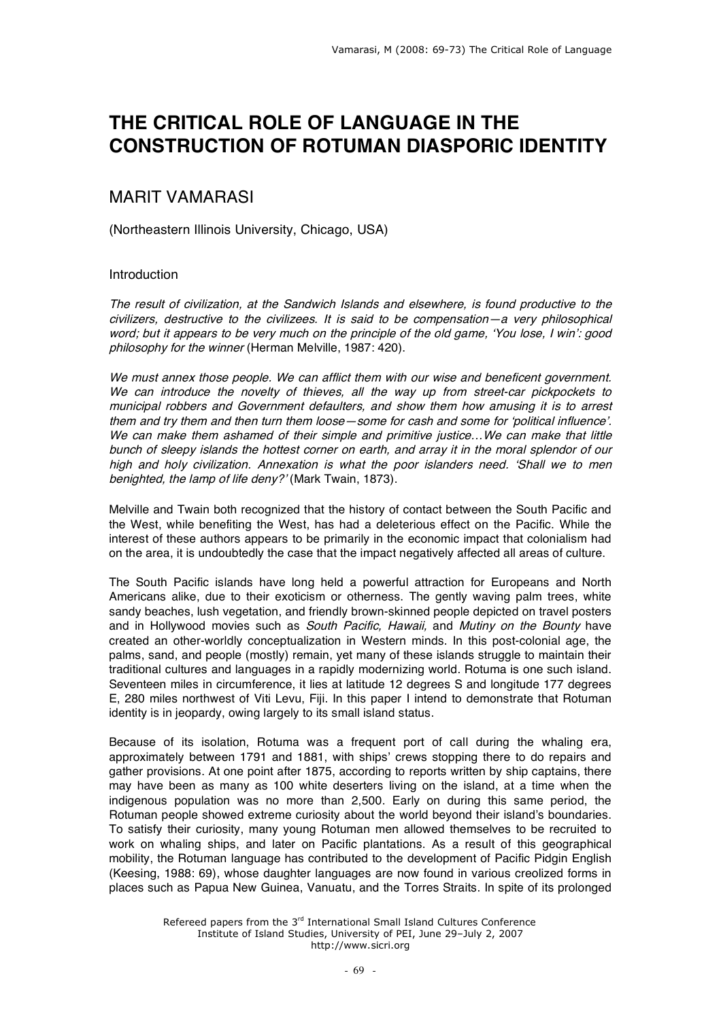# **THE CRITICAL ROLE OF LANGUAGE IN THE CONSTRUCTION OF ROTUMAN DIASPORIC IDENTITY**

# MARIT VAMARASI

(Northeastern Illinois University, Chicago, USA)

# Introduction

The result of civilization, at the Sandwich Islands and elsewhere, is found productive to the civilizers, destructive to the civilizees. It is said to be compensation—a very philosophical word; but it appears to be very much on the principle of the old game, 'You lose, I win': good philosophy for the winner (Herman Melville, 1987: 420).

We must annex those people. We can afflict them with our wise and beneficent government. We can introduce the novelty of thieves, all the way up from street-car pickpockets to municipal robbers and Government defaulters, and show them how amusing it is to arrest them and try them and then turn them loose—some for cash and some for 'political influence'. We can make them ashamed of their simple and primitive justice...We can make that little bunch of sleepy islands the hottest corner on earth, and array it in the moral splendor of our high and holy civilization. Annexation is what the poor islanders need. 'Shall we to men benighted, the lamp of life deny?' (Mark Twain, 1873).

Melville and Twain both recognized that the history of contact between the South Pacific and the West, while benefiting the West, has had a deleterious effect on the Pacific. While the interest of these authors appears to be primarily in the economic impact that colonialism had on the area, it is undoubtedly the case that the impact negatively affected all areas of culture.

The South Pacific islands have long held a powerful attraction for Europeans and North Americans alike, due to their exoticism or otherness. The gently waving palm trees, white sandy beaches, lush vegetation, and friendly brown-skinned people depicted on travel posters and in Hollywood movies such as South Pacific, Hawaii, and Mutiny on the Bounty have created an other-worldly conceptualization in Western minds. In this post-colonial age, the palms, sand, and people (mostly) remain, yet many of these islands struggle to maintain their traditional cultures and languages in a rapidly modernizing world. Rotuma is one such island. Seventeen miles in circumference, it lies at latitude 12 degrees S and longitude 177 degrees E, 280 miles northwest of Viti Levu, Fiji. In this paper I intend to demonstrate that Rotuman identity is in jeopardy, owing largely to its small island status.

Because of its isolation, Rotuma was a frequent port of call during the whaling era, approximately between 1791 and 1881, with ships' crews stopping there to do repairs and gather provisions. At one point after 1875, according to reports written by ship captains, there may have been as many as 100 white deserters living on the island, at a time when the indigenous population was no more than 2,500. Early on during this same period, the Rotuman people showed extreme curiosity about the world beyond their island's boundaries. To satisfy their curiosity, many young Rotuman men allowed themselves to be recruited to work on whaling ships, and later on Pacific plantations. As a result of this geographical mobility, the Rotuman language has contributed to the development of Pacific Pidgin English (Keesing, 1988: 69), whose daughter languages are now found in various creolized forms in places such as Papua New Guinea, Vanuatu, and the Torres Straits. In spite of its prolonged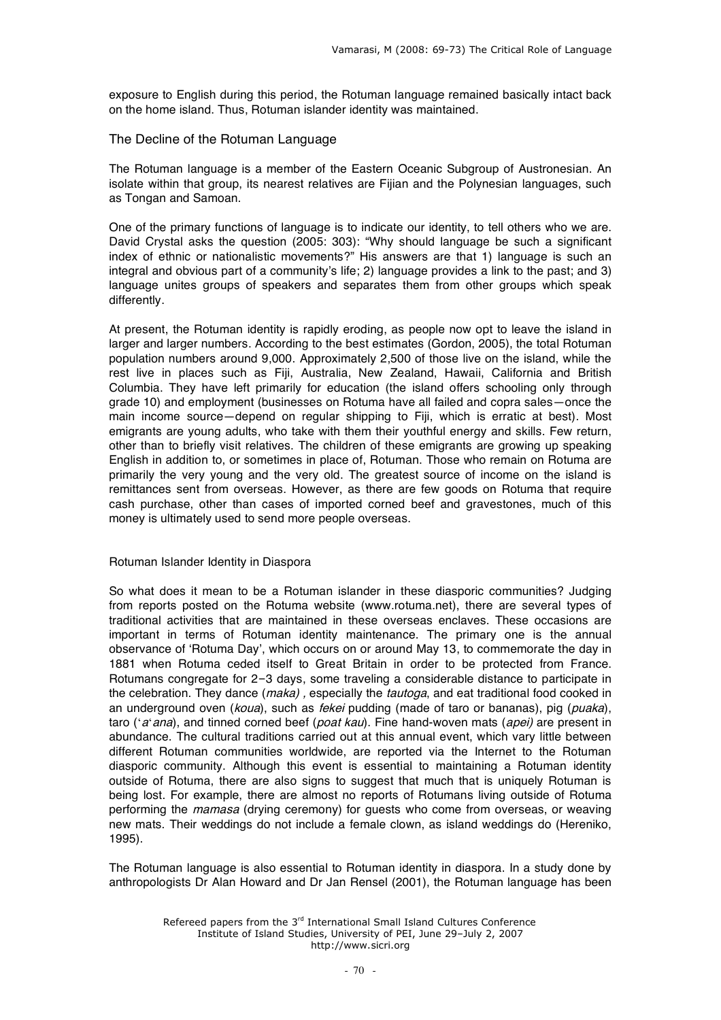exposure to English during this period, the Rotuman language remained basically intact back on the home island. Thus, Rotuman islander identity was maintained.

# The Decline of the Rotuman Language

The Rotuman language is a member of the Eastern Oceanic Subgroup of Austronesian. An isolate within that group, its nearest relatives are Fijian and the Polynesian languages, such as Tongan and Samoan.

One of the primary functions of language is to indicate our identity, to tell others who we are. David Crystal asks the question (2005: 303): "Why should language be such a significant index of ethnic or nationalistic movements?" His answers are that 1) language is such an integral and obvious part of a community's life; 2) language provides a link to the past; and 3) language unites groups of speakers and separates them from other groups which speak differently.

At present, the Rotuman identity is rapidly eroding, as people now opt to leave the island in larger and larger numbers. According to the best estimates (Gordon, 2005), the total Rotuman population numbers around 9,000. Approximately 2,500 of those live on the island, while the rest live in places such as Fiji, Australia, New Zealand, Hawaii, California and British Columbia. They have left primarily for education (the island offers schooling only through grade 10) and employment (businesses on Rotuma have all failed and copra sales—once the main income source—depend on regular shipping to Fiji, which is erratic at best). Most emigrants are young adults, who take with them their youthful energy and skills. Few return, other than to briefly visit relatives. The children of these emigrants are growing up speaking English in addition to, or sometimes in place of, Rotuman. Those who remain on Rotuma are primarily the very young and the very old. The greatest source of income on the island is remittances sent from overseas. However, as there are few goods on Rotuma that require cash purchase, other than cases of imported corned beef and gravestones, much of this money is ultimately used to send more people overseas.

#### Rotuman Islander Identity in Diaspora

So what does it mean to be a Rotuman islander in these diasporic communities? Judging from reports posted on the Rotuma website (www.rotuma.net), there are several types of traditional activities that are maintained in these overseas enclaves. These occasions are important in terms of Rotuman identity maintenance. The primary one is the annual observance of 'Rotuma Day', which occurs on or around May 13, to commemorate the day in 1881 when Rotuma ceded itself to Great Britain in order to be protected from France. Rotumans congregate for 2–3 days, some traveling a considerable distance to participate in the celebration. They dance (maka), especially the *tautoga*, and eat traditional food cooked in an underground oven (koua), such as fekei pudding (made of taro or bananas), pig (puaka), taro ('a'ana), and tinned corned beef (poat kau). Fine hand-woven mats (apei) are present in abundance. The cultural traditions carried out at this annual event, which vary little between different Rotuman communities worldwide, are reported via the Internet to the Rotuman diasporic community. Although this event is essential to maintaining a Rotuman identity outside of Rotuma, there are also signs to suggest that much that is uniquely Rotuman is being lost. For example, there are almost no reports of Rotumans living outside of Rotuma performing the *mamasa* (drying ceremony) for guests who come from overseas, or weaving new mats. Their weddings do not include a female clown, as island weddings do (Hereniko, 1995).

The Rotuman language is also essential to Rotuman identity in diaspora. In a study done by anthropologists Dr Alan Howard and Dr Jan Rensel (2001), the Rotuman language has been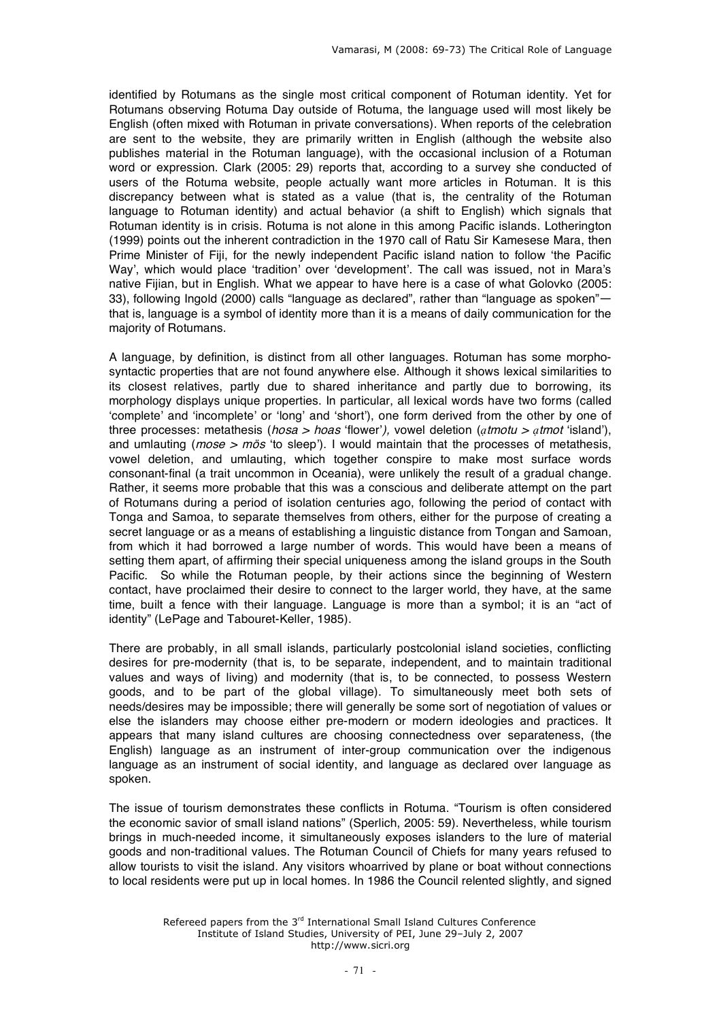identified by Rotumans as the single most critical component of Rotuman identity. Yet for Rotumans observing Rotuma Day outside of Rotuma, the language used will most likely be English (often mixed with Rotuman in private conversations). When reports of the celebration are sent to the website, they are primarily written in English (although the website also publishes material in the Rotuman language), with the occasional inclusion of a Rotuman word or expression. Clark (2005: 29) reports that, according to a survey she conducted of users of the Rotuma website, people actually want more articles in Rotuman. It is this discrepancy between what is stated as a value (that is, the centrality of the Rotuman language to Rotuman identity) and actual behavior (a shift to English) which signals that Rotuman identity is in crisis. Rotuma is not alone in this among Pacific islands. Lotherington (1999) points out the inherent contradiction in the 1970 call of Ratu Sir Kamesese Mara, then Prime Minister of Fiji, for the newly independent Pacific island nation to follow 'the Pacific Way', which would place 'tradition' over 'development'. The call was issued, not in Mara's native Fijian, but in English. What we appear to have here is a case of what Golovko (2005: 33), following Ingold (2000) calls "language as declared", rather than "language as spoken"that is, language is a symbol of identity more than it is a means of daily communication for the majority of Rotumans.

A language, by definition, is distinct from all other languages. Rotuman has some morphosyntactic properties that are not found anywhere else. Although it shows lexical similarities to its closest relatives, partly due to shared inheritance and partly due to borrowing, its morphology displays unique properties. In particular, all lexical words have two forms (called 'complete' and 'incomplete' or 'long' and 'short'), one form derived from the other by one of three processes: metathesis (hosa <sup>&</sup>gt; hoas 'flower'), vowel deletion (*ạ*tmotu <sup>&</sup>gt; *ạ*tmot 'island'), and umlauting ( $mose > m\ddot{o}s$  'to sleep'). I would maintain that the processes of metathesis, vowel deletion, and umlauting, which together conspire to make most surface words consonant-final (a trait uncommon in Oceania), were unlikely the result of a gradual change. Rather, it seems more probable that this was a conscious and deliberate attempt on the part of Rotumans during a period of isolation centuries ago, following the period of contact with Tonga and Samoa, to separate themselves from others, either for the purpose of creating a secret language or as a means of establishing a linguistic distance from Tongan and Samoan, from which it had borrowed a large number of words. This would have been a means of setting them apart, of affirming their special uniqueness among the island groups in the South Pacific. So while the Rotuman people, by their actions since the beginning of Western contact, have proclaimed their desire to connect to the larger world, they have, at the same time, built a fence with their language. Language is more than a symbol; it is an "act of identity" (LePage and Tabouret-Keller, 1985).

There are probably, in all small islands, particularly postcolonial island societies, conflicting desires for pre-modernity (that is, to be separate, independent, and to maintain traditional values and ways of living) and modernity (that is, to be connected, to possess Western goods, and to be part of the global village). To simultaneously meet both sets of needs/desires may be impossible; there will generally be some sort of negotiation of values or else the islanders may choose either pre-modern or modern ideologies and practices. It appears that many island cultures are choosing connectedness over separateness, (the English) language as an instrument of inter-group communication over the indigenous language as an instrument of social identity, and language as declared over language as spoken.

The issue of tourism demonstrates these conflicts in Rotuma. "Tourism is often considered the economic savior of small island nations" (Sperlich, 2005: 59). Nevertheless, while tourism brings in much-needed income, it simultaneously exposes islanders to the lure of material goods and non-traditional values. The Rotuman Council of Chiefs for many years refused to allow tourists to visit the island. Any visitors whoarrived by plane or boat without connections to local residents were put up in local homes. In 1986 the Council relented slightly, and signed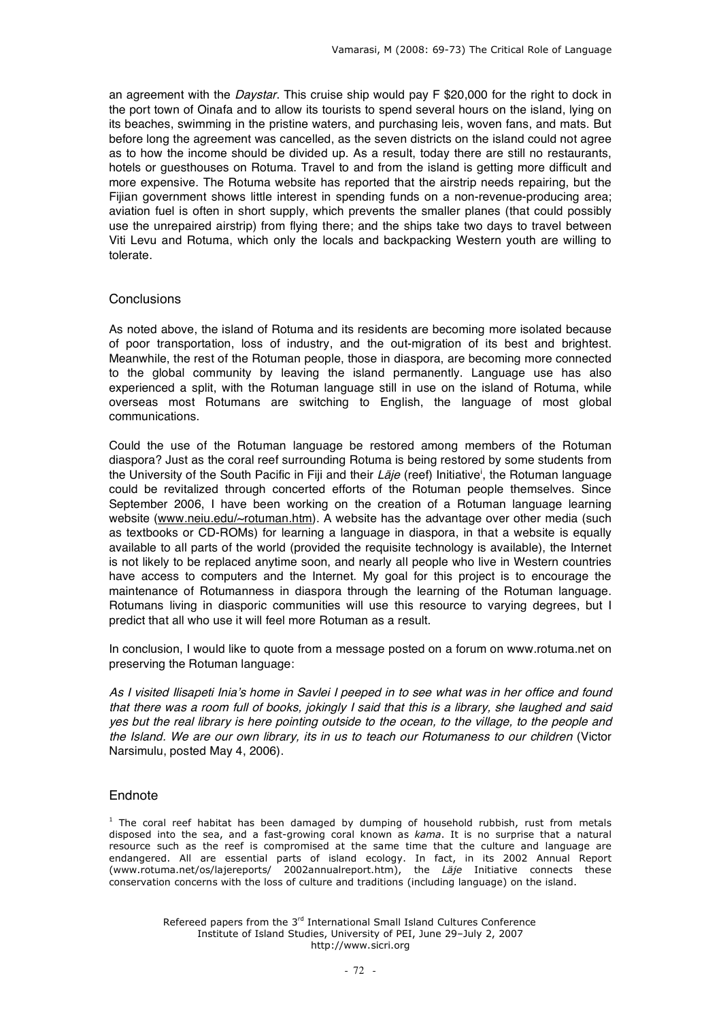an agreement with the *Daystar*. This cruise ship would pay F \$20,000 for the right to dock in the port town of Oinafa and to allow its tourists to spend several hours on the island, lying on its beaches, swimming in the pristine waters, and purchasing leis, woven fans, and mats. But before long the agreement was cancelled, as the seven districts on the island could not agree as to how the income should be divided up. As a result, today there are still no restaurants, hotels or guesthouses on Rotuma. Travel to and from the island is getting more difficult and more expensive. The Rotuma website has reported that the airstrip needs repairing, but the Fijian government shows little interest in spending funds on a non-revenue-producing area; aviation fuel is often in short supply, which prevents the smaller planes (that could possibly use the unrepaired airstrip) from flying there; and the ships take two days to travel between Viti Levu and Rotuma, which only the locals and backpacking Western youth are willing to tolerate.

# **Conclusions**

As noted above, the island of Rotuma and its residents are becoming more isolated because of poor transportation, loss of industry, and the out-migration of its best and brightest. Meanwhile, the rest of the Rotuman people, those in diaspora, are becoming more connected to the global community by leaving the island permanently. Language use has also experienced a split, with the Rotuman language still in use on the island of Rotuma, while overseas most Rotumans are switching to English, the language of most global communications.

Could the use of the Rotuman language be restored among members of the Rotuman diaspora? Just as the coral reef surrounding Rotuma is being restored by some students from the University of the South Pacific in Fiji and their *Läje* (reef) Initiative<sup>i</sup>, the Rotuman language could be revitalized through concerted efforts of the Rotuman people themselves. Since September 2006, I have been working on the creation of a Rotuman language learning website (www.neiu.edu/~rotuman.htm). A website has the advantage over other media (such as textbooks or CD-ROMs) for learning a language in diaspora, in that a website is equally available to all parts of the world (provided the requisite technology is available), the Internet is not likely to be replaced anytime soon, and nearly all people who live in Western countries have access to computers and the Internet. My goal for this project is to encourage the maintenance of Rotumanness in diaspora through the learning of the Rotuman language. Rotumans living in diasporic communities will use this resource to varying degrees, but I predict that all who use it will feel more Rotuman as a result.

In conclusion, I would like to quote from a message posted on a forum on www.rotuma.net on preserving the Rotuman language:

As I visited Ilisapeti Inia'<sup>s</sup> home in Savlei I peeped in to see what was in her office and found that there was <sup>a</sup> room full of books, jokingly I said that this is <sup>a</sup> library, she laughed and said yes but the real library is here pointing outside to the ocean, to the village, to the people and the Island. We are our own library, its in us to teach our Rotumaness to our children (Victor Narsimulu, posted May 4, 2006).

## **Endnote**

 $<sup>1</sup>$  The coral reef habitat has been damaged by dumping of household rubbish, rust from metals</sup> disposed into the sea, and a fast-growing coral known as *kama*. It is no surprise that a natural resource such as the reef is compromised at the same time that the culture and language are endangered. All are essential parts of island ecology. In fact, in its 2002 Annual Report (www.rotuma.net/os/lajereports/ 2002annualreport.htm), the *Läje* Initiative connects these conservation concerns with the loss of culture and traditions (including language) on the island.